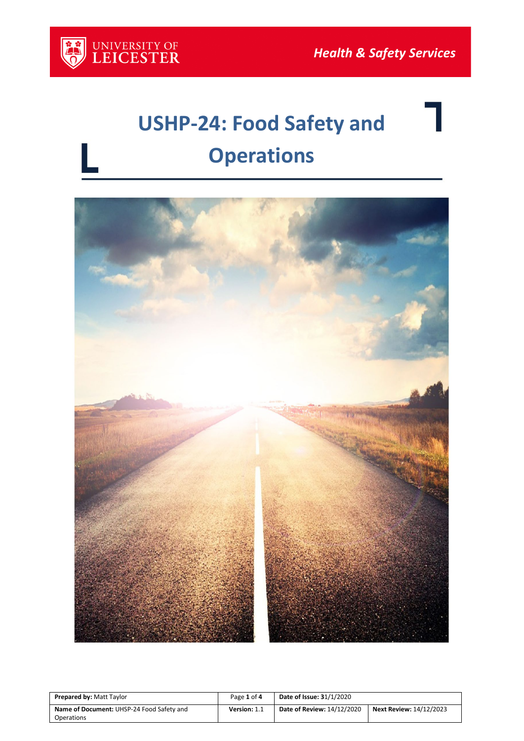

# **USHP-24: Food Safety and Operations**



| <b>Prepared by: Matt Taylor</b>                                | Page 1 of 4  | <b>Date of Issue: 31/1/2020</b> |                                |
|----------------------------------------------------------------|--------------|---------------------------------|--------------------------------|
| Name of Document: UHSP-24 Food Safety and<br><b>Operations</b> | Version: 1.1 | Date of Review: 14/12/2020      | <b>Next Review: 14/12/2023</b> |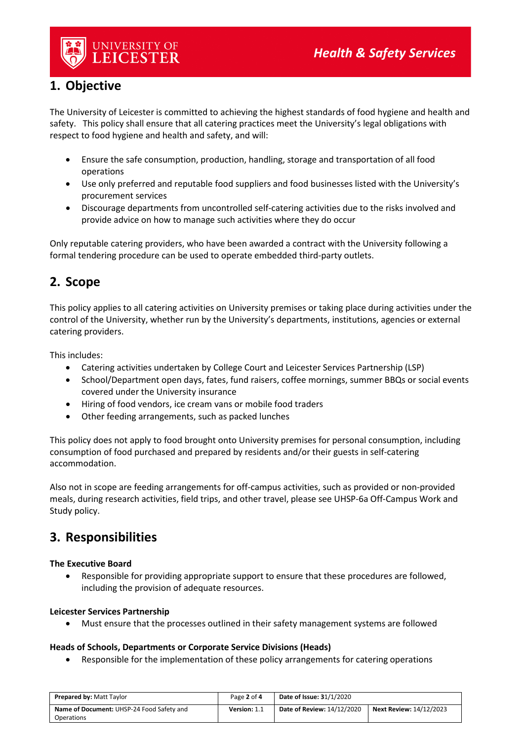

# **1. Objective**

The University of Leicester is committed to achieving the highest standards of food hygiene and health and safety. This policy shall ensure that all catering practices meet the University's legal obligations with respect to food hygiene and health and safety, and will:

- Ensure the safe consumption, production, handling, storage and transportation of all food operations
- Use only preferred and reputable food suppliers and food businesses listed with the University's procurement services
- Discourage departments from uncontrolled self-catering activities due to the risks involved and provide advice on how to manage such activities where they do occur

Only reputable catering providers, who have been awarded a contract with the University following a formal tendering procedure can be used to operate embedded third-party outlets.

# **2. Scope**

This policy applies to all catering activities on University premises or taking place during activities under the control of the University, whether run by the University's departments, institutions, agencies or external catering providers.

This includes:

- Catering activities undertaken by College Court and Leicester Services Partnership (LSP)
- School/Department open days, fates, fund raisers, coffee mornings, summer BBQs or social events covered under the University insurance
- Hiring of food vendors, ice cream vans or mobile food traders
- Other feeding arrangements, such as packed lunches

This policy does not apply to food brought onto University premises for personal consumption, including consumption of food purchased and prepared by residents and/or their guests in self-catering accommodation.

Also not in scope are feeding arrangements for off-campus activities, such as provided or non-provided meals, during research activities, field trips, and other travel, please see UHSP-6a Off-Campus Work and Study policy.

# **3. Responsibilities**

## **The Executive Board**

• Responsible for providing appropriate support to ensure that these procedures are followed, including the provision of adequate resources.

#### **Leicester Services Partnership**

• Must ensure that the processes outlined in their safety management systems are followed

## **Heads of Schools, Departments or Corporate Service Divisions (Heads)**

• Responsible for the implementation of these policy arrangements for catering operations

| <b>Prepared by: Matt Taylor</b>           | Page 2 of 4  | <b>Date of Issue: 31/1/2020</b> |                                |
|-------------------------------------------|--------------|---------------------------------|--------------------------------|
| Name of Document: UHSP-24 Food Safety and | Version: 1.1 | Date of Review: 14/12/2020      | <b>Next Review: 14/12/2023</b> |
| Operations                                |              |                                 |                                |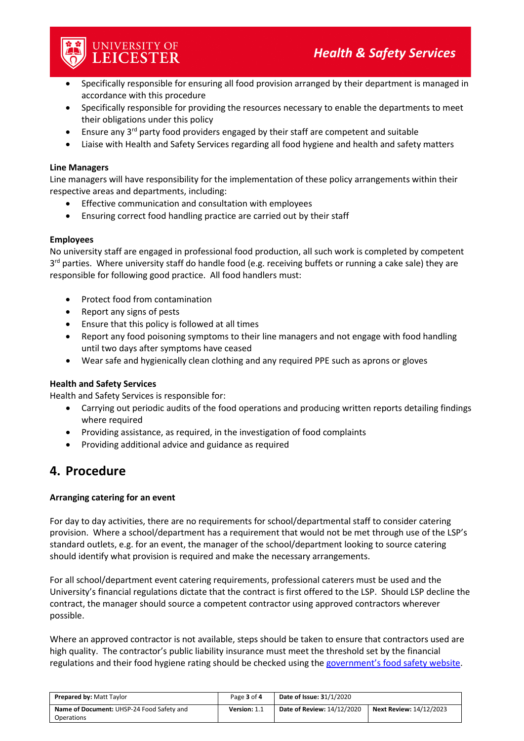

- Specifically responsible for ensuring all food provision arranged by their department is managed in accordance with this procedure
- Specifically responsible for providing the resources necessary to enable the departments to meet their obligations under this policy
- Ensure any 3<sup>rd</sup> party food providers engaged by their staff are competent and suitable
- Liaise with Health and Safety Services regarding all food hygiene and health and safety matters

#### **Line Managers**

Line managers will have responsibility for the implementation of these policy arrangements within their respective areas and departments, including:

- Effective communication and consultation with employees
- Ensuring correct food handling practice are carried out by their staff

## **Employees**

No university staff are engaged in professional food production, all such work is completed by competent  $3<sup>rd</sup>$  parties. Where university staff do handle food (e.g. receiving buffets or running a cake sale) they are responsible for following good practice. All food handlers must:

- Protect food from contamination
- Report any signs of pests
- Ensure that this policy is followed at all times
- Report any food poisoning symptoms to their line managers and not engage with food handling until two days after symptoms have ceased
- Wear safe and hygienically clean clothing and any required PPE such as aprons or gloves

## **Health and Safety Services**

Health and Safety Services is responsible for:

- Carrying out periodic audits of the food operations and producing written reports detailing findings where required
- Providing assistance, as required, in the investigation of food complaints
- Providing additional advice and guidance as required

# **4. Procedure**

## **Arranging catering for an event**

For day to day activities, there are no requirements for school/departmental staff to consider catering provision. Where a school/department has a requirement that would not be met through use of the LSP's standard outlets, e.g. for an event, the manager of the school/department looking to source catering should identify what provision is required and make the necessary arrangements.

For all school/department event catering requirements, professional caterers must be used and the University's financial regulations dictate that the contract is first offered to the LSP. Should LSP decline the contract, the manager should source a competent contractor using approved contractors wherever possible.

Where an approved contractor is not available, steps should be taken to ensure that contractors used are high quality. The contractor's public liability insurance must meet the threshold set by the financial regulations and their food hygiene rating should be checked using the [government's food safety website.](https://ratings.food.gov.uk/)

| <b>Prepared by: Matt Taylor</b>           | Page 3 of 4  | <b>Date of Issue: 31/1/2020</b> |                                |
|-------------------------------------------|--------------|---------------------------------|--------------------------------|
| Name of Document: UHSP-24 Food Safety and | Version: 1.1 | Date of Review: 14/12/2020      | <b>Next Review: 14/12/2023</b> |
| Operations                                |              |                                 |                                |